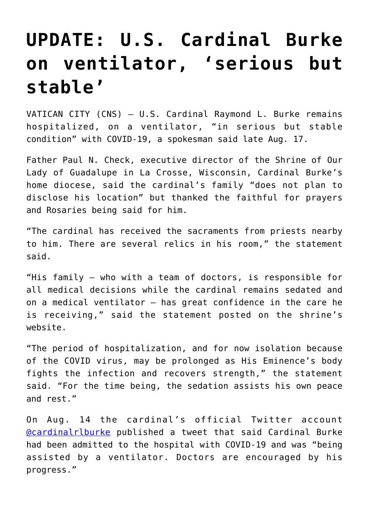## **[UPDATE: U.S. Cardinal Burke](https://www.osvnews.com/2021/08/18/update-u-s-cardinal-burke-on-ventilator-serious-but-stable/) [on ventilator, 'serious but](https://www.osvnews.com/2021/08/18/update-u-s-cardinal-burke-on-ventilator-serious-but-stable/) [stable'](https://www.osvnews.com/2021/08/18/update-u-s-cardinal-burke-on-ventilator-serious-but-stable/)**

VATICAN CITY (CNS) — U.S. Cardinal Raymond L. Burke remains hospitalized, on a ventilator, "in serious but stable condition" with COVID-19, a spokesman said late Aug. 17.

Father Paul N. Check, executive director of the Shrine of Our Lady of Guadalupe in La Crosse, Wisconsin, Cardinal Burke's home diocese, said the cardinal's family "does not plan to disclose his location" but thanked the faithful for prayers and Rosaries being said for him.

"The cardinal has received the sacraments from priests nearby to him. There are several relics in his room," the statement said.

"His family — who with a team of doctors, is responsible for all medical decisions while the cardinal remains sedated and on a medical ventilator — has great confidence in the care he is receiving," said the statement posted on the shrine's website.

"The period of hospitalization, and for now isolation because of the COVID virus, may be prolonged as His Eminence's body fights the infection and recovers strength," the statement said. "For the time being, the sedation assists his own peace and rest."

On Aug. 14 the cardinal's official Twitter account [@cardinalrlburke](https://twitter.com/cardinalrlburke) published a tweet that said Cardinal Burke had been admitted to the hospital with COVID-19 and was "being assisted by a ventilator. Doctors are encouraged by his progress."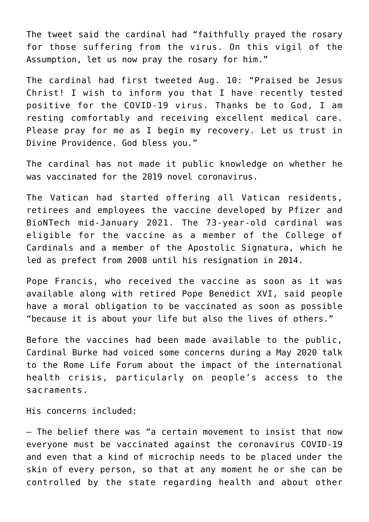The tweet said the cardinal had "faithfully prayed the rosary for those suffering from the virus. On this vigil of the Assumption, let us now pray the rosary for him."

The cardinal had first tweeted Aug. 10: "Praised be Jesus Christ! I wish to inform you that I have recently tested positive for the COVID-19 virus. Thanks be to God, I am resting comfortably and receiving excellent medical care. Please pray for me as I begin my recovery. Let us trust in Divine Providence. God bless you."

The cardinal has not made it public knowledge on whether he was vaccinated for the 2019 novel coronavirus.

The Vatican had started offering all Vatican residents, retirees and employees the vaccine developed by Pfizer and BioNTech mid-January 2021. The 73-year-old cardinal was eligible for the vaccine as a member of the College of Cardinals and a member of the Apostolic Signatura, which he led as prefect from 2008 until his resignation in 2014.

Pope Francis, who received the vaccine as soon as it was available along with retired Pope Benedict XVI, said people have a moral obligation to be vaccinated as soon as possible "because it is about your life but also the lives of others."

Before the vaccines had been made available to the public, Cardinal Burke had voiced some concerns during a May 2020 talk to the Rome Life Forum about the impact of the international health crisis, particularly on people's access to the sacraments.

His concerns included:

— The belief there was "a certain movement to insist that now everyone must be vaccinated against the coronavirus COVID-19 and even that a kind of microchip needs to be placed under the skin of every person, so that at any moment he or she can be controlled by the state regarding health and about other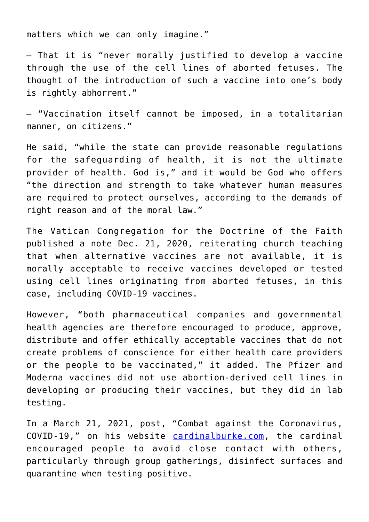matters which we can only imagine."

— That it is "never morally justified to develop a vaccine through the use of the cell lines of aborted fetuses. The thought of the introduction of such a vaccine into one's body is rightly abhorrent."

— "Vaccination itself cannot be imposed, in a totalitarian manner, on citizens."

He said, "while the state can provide reasonable regulations for the safeguarding of health, it is not the ultimate provider of health. God is," and it would be God who offers "the direction and strength to take whatever human measures are required to protect ourselves, according to the demands of right reason and of the moral law."

The Vatican Congregation for the Doctrine of the Faith published a note Dec. 21, 2020, reiterating church teaching that when alternative vaccines are not available, it is morally acceptable to receive vaccines developed or tested using cell lines originating from aborted fetuses, in this case, including COVID-19 vaccines.

However, "both pharmaceutical companies and governmental health agencies are therefore encouraged to produce, approve, distribute and offer ethically acceptable vaccines that do not create problems of conscience for either health care providers or the people to be vaccinated," it added. The Pfizer and Moderna vaccines did not use abortion-derived cell lines in developing or producing their vaccines, but they did in lab testing.

In a March 21, 2021, post, "Combat against the Coronavirus, COVID-19," on his website [cardinalburke.com,](http://cardinalburke.com) the cardinal encouraged people to avoid close contact with others, particularly through group gatherings, disinfect surfaces and quarantine when testing positive.